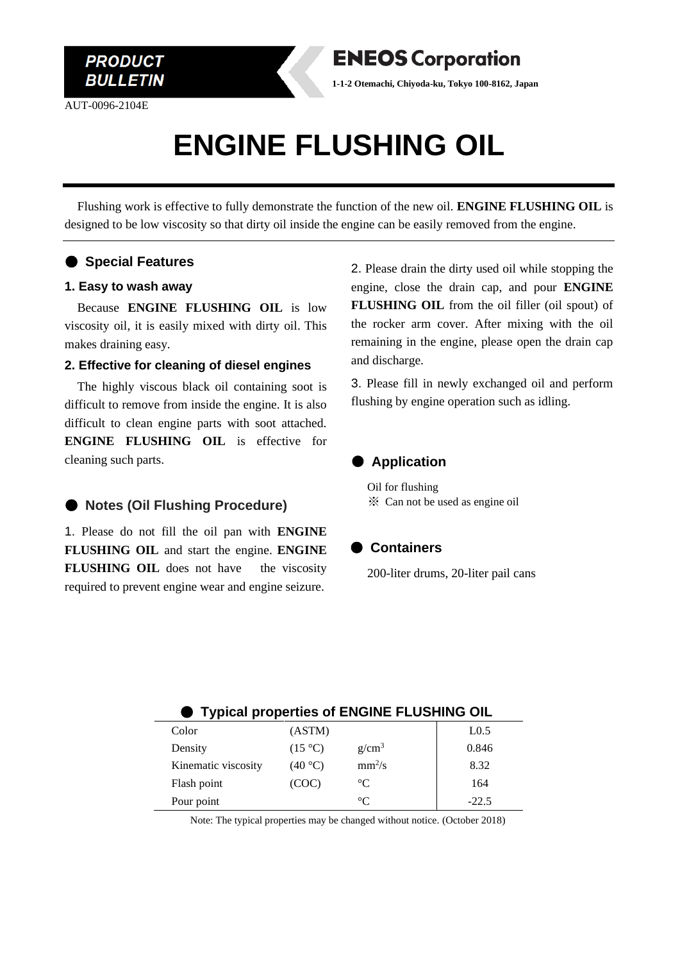

AUT-0096-2104E



**1-1-2 Otemachi, Chiyoda-ku, Tokyo 100-8162, Japan**

# **ENGINE FLUSHING OIL**

Flushing work is effective to fully demonstrate the function of the new oil. **ENGINE FLUSHING OIL** is designed to be low viscosity so that dirty oil inside the engine can be easily removed from the engine.

## ● **Special Features**

#### **1. Easy to wash away**

Because **ENGINE FLUSHING OIL** is low viscosity oil, it is easily mixed with dirty oil. This makes draining easy.

#### **2. Effective for cleaning of diesel engines**

The highly viscous black oil containing soot is difficult to remove from inside the engine. It is also difficult to clean engine parts with soot attached. **ENGINE FLUSHING OIL** is effective for cleaning such parts.

## ● **Notes** (Oil Flushing Procedure)

1. Please do not fill the oil pan with **ENGINE FLUSHING OIL** and start the engine. **ENGINE FLUSHING OIL** does not have the viscosity required to prevent engine wear and engine seizure.

2. Please drain the dirty used oil while stopping the engine, close the drain cap, and pour **ENGINE FLUSHING OIL** from the oil filler (oil spout) of the rocker arm cover. After mixing with the oil remaining in the engine, please open the drain cap and discharge.

3. Please fill in newly exchanged oil and perform flushing by engine operation such as idling.



Oil for flushing ※ Can not be used as engine oil

### ● **Containers**

200-liter drums, 20-liter pail cans

| ● Typical properties of ENGINE FLUSHING OIL |                   |                   |                  |
|---------------------------------------------|-------------------|-------------------|------------------|
| Color                                       | (ASTM)            |                   | L <sub>0.5</sub> |
| Density                                     | $(15 \text{ °C})$ | g/cm <sup>3</sup> | 0.846            |
| Kinematic viscosity                         | (40 °C)           | $mm^2/s$          | 8.32             |
| Flash point                                 | (COC)             | $^{\circ}C$       | 164              |
| Pour point                                  |                   | $^{\circ}C$       | $-22.5$          |

Note: The typical properties may be changed without notice. (October 2018)